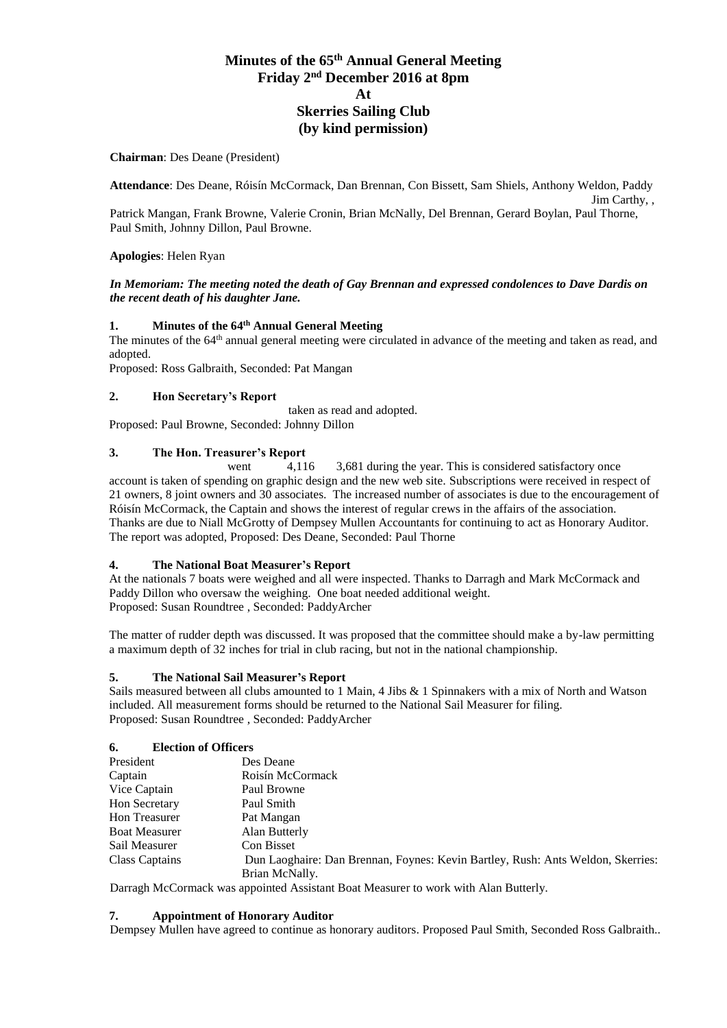# **Minutes of the 65 th Annual General Meeting Friday 2 nd December 2016 at 8pm At Skerries Sailing Club (by kind permission)**

#### **Chairman**: Des Deane (President)

**Attendance**: Des Deane, Róisín McCormack, Dan Brennan, Con Bissett, Sam Shiels, Anthony Weldon, Paddy Jim Carthy, ,

Patrick Mangan, Frank Browne, Valerie Cronin, Brian McNally, Del Brennan, Gerard Boylan, Paul Thorne, Paul Smith, Johnny Dillon, Paul Browne.

#### **Apologies**: Helen Ryan

#### *In Memoriam: The meeting noted the death of Gay Brennan and expressed condolences to Dave Dardis on the recent death of his daughter Jane.*

#### **1. Minutes of the 64 th Annual General Meeting**

The minutes of the 64<sup>th</sup> annual general meeting were circulated in advance of the meeting and taken as read, and adopted.

Proposed: Ross Galbraith, Seconded: Pat Mangan

# **2. Hon Secretary's Report**

taken as read and adopted. Proposed: Paul Browne, Seconded: Johnny Dillon

# **3. The Hon. Treasurer's Report**

went  $\frac{4,116}{ }$  3,681 during the year. This is considered satisfactory once account is taken of spending on graphic design and the new web site. Subscriptions were received in respect of 21 owners, 8 joint owners and 30 associates. The increased number of associates is due to the encouragement of Róisín McCormack, the Captain and shows the interest of regular crews in the affairs of the association. Thanks are due to Niall McGrotty of Dempsey Mullen Accountants for continuing to act as Honorary Auditor. The report was adopted, Proposed: Des Deane, Seconded: Paul Thorne

#### **4. The National Boat Measurer's Report**

At the nationals 7 boats were weighed and all were inspected. Thanks to Darragh and Mark McCormack and Paddy Dillon who oversaw the weighing. One boat needed additional weight. Proposed: Susan Roundtree , Seconded: PaddyArcher

The matter of rudder depth was discussed. It was proposed that the committee should make a by-law permitting a maximum depth of 32 inches for trial in club racing, but not in the national championship.

#### **5. The National Sail Measurer's Report**

Sails measured between all clubs amounted to 1 Main, 4 Jibs & 1 Spinnakers with a mix of North and Watson included. All measurement forms should be returned to the National Sail Measurer for filing. Proposed: Susan Roundtree , Seconded: PaddyArcher

#### **6. Election of Officers**

| President            | Des Deane                                                                       |
|----------------------|---------------------------------------------------------------------------------|
| Captain              | Roisín McCormack                                                                |
| Vice Captain         | Paul Browne                                                                     |
| <b>Hon Secretary</b> | Paul Smith                                                                      |
| Hon Treasurer        | Pat Mangan                                                                      |
| <b>Boat Measurer</b> | Alan Butterly                                                                   |
| Sail Measurer        | Con Bisset                                                                      |
| Class Captains       | Dun Laoghaire: Dan Brennan, Foynes: Kevin Bartley, Rush: Ants Weldon, Skerries: |
|                      | Brian McNally.                                                                  |

Darragh McCormack was appointed Assistant Boat Measurer to work with Alan Butterly.

#### **7. Appointment of Honorary Auditor**

Dempsey Mullen have agreed to continue as honorary auditors. Proposed Paul Smith, Seconded Ross Galbraith..